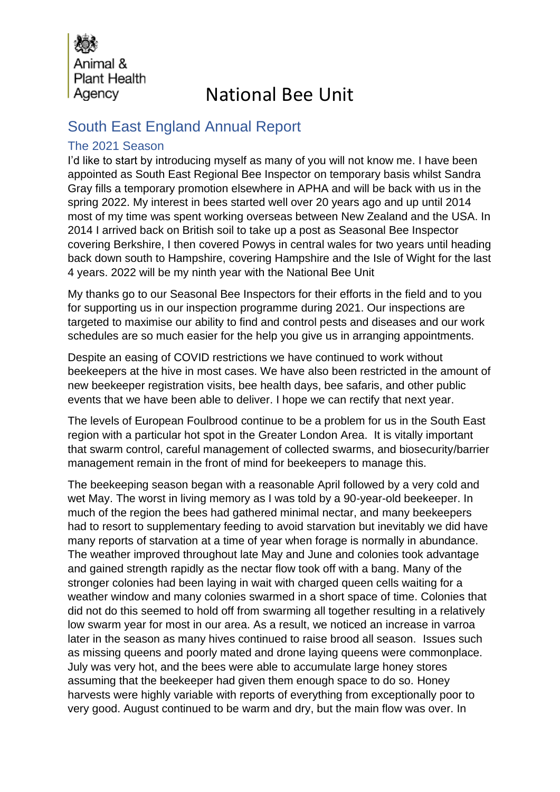Animal & **Plant Health** Agency

# National Bee Unit

### South East England Annual Report

### The 2021 Season

I'd like to start by introducing myself as many of you will not know me. I have been appointed as South East Regional Bee Inspector on temporary basis whilst Sandra Gray fills a temporary promotion elsewhere in APHA and will be back with us in the spring 2022. My interest in bees started well over 20 years ago and up until 2014 most of my time was spent working overseas between New Zealand and the USA. In 2014 I arrived back on British soil to take up a post as Seasonal Bee Inspector covering Berkshire, I then covered Powys in central wales for two years until heading back down south to Hampshire, covering Hampshire and the Isle of Wight for the last 4 years. 2022 will be my ninth year with the National Bee Unit

My thanks go to our Seasonal Bee Inspectors for their efforts in the field and to you for supporting us in our inspection programme during 2021. Our inspections are targeted to maximise our ability to find and control pests and diseases and our work schedules are so much easier for the help you give us in arranging appointments.

Despite an easing of COVID restrictions we have continued to work without beekeepers at the hive in most cases. We have also been restricted in the amount of new beekeeper registration visits, bee health days, bee safaris, and other public events that we have been able to deliver. I hope we can rectify that next year.

The levels of European Foulbrood continue to be a problem for us in the South East region with a particular hot spot in the Greater London Area. It is vitally important that swarm control, careful management of collected swarms, and biosecurity/barrier management remain in the front of mind for beekeepers to manage this.

The beekeeping season began with a reasonable April followed by a very cold and wet May. The worst in living memory as I was told by a 90-year-old beekeeper. In much of the region the bees had gathered minimal nectar, and many beekeepers had to resort to supplementary feeding to avoid starvation but inevitably we did have many reports of starvation at a time of year when forage is normally in abundance. The weather improved throughout late May and June and colonies took advantage and gained strength rapidly as the nectar flow took off with a bang. Many of the stronger colonies had been laying in wait with charged queen cells waiting for a weather window and many colonies swarmed in a short space of time. Colonies that did not do this seemed to hold off from swarming all together resulting in a relatively low swarm year for most in our area. As a result, we noticed an increase in varroa later in the season as many hives continued to raise brood all season. Issues such as missing queens and poorly mated and drone laying queens were commonplace. July was very hot, and the bees were able to accumulate large honey stores assuming that the beekeeper had given them enough space to do so. Honey harvests were highly variable with reports of everything from exceptionally poor to very good. August continued to be warm and dry, but the main flow was over. In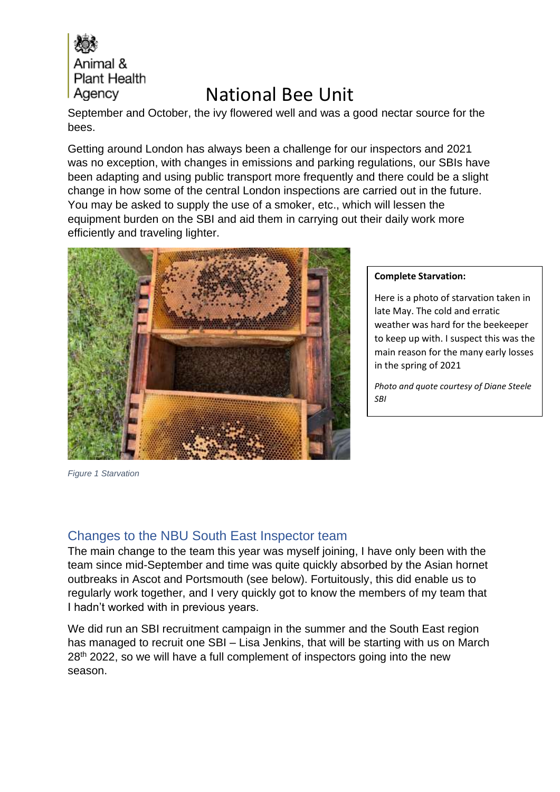

September and October, the ivy flowered well and was a good nectar source for the bees.

Getting around London has always been a challenge for our inspectors and 2021 was no exception, with changes in emissions and parking regulations, our SBIs have been adapting and using public transport more frequently and there could be a slight change in how some of the central London inspections are carried out in the future. You may be asked to supply the use of a smoker, etc., which will lessen the equipment burden on the SBI and aid them in carrying out their daily work more efficiently and traveling lighter.



*Figure 1 Starvation*

#### **Complete Starvation:**

Here is a photo of starvation taken in late May. The cold and erratic weather was hard for the beekeeper to keep up with. I suspect this was the main reason for the many early losses in the spring of 2021

*Photo and quote courtesy of Diane Steele SBI* 

### Changes to the NBU South East Inspector team

The main change to the team this year was myself joining, I have only been with the team since mid-September and time was quite quickly absorbed by the Asian hornet outbreaks in Ascot and Portsmouth (see below). Fortuitously, this did enable us to regularly work together, and I very quickly got to know the members of my team that I hadn't worked with in previous years.

We did run an SBI recruitment campaign in the summer and the South East region has managed to recruit one SBI – Lisa Jenkins, that will be starting with us on March 28<sup>th</sup> 2022, so we will have a full complement of inspectors going into the new season.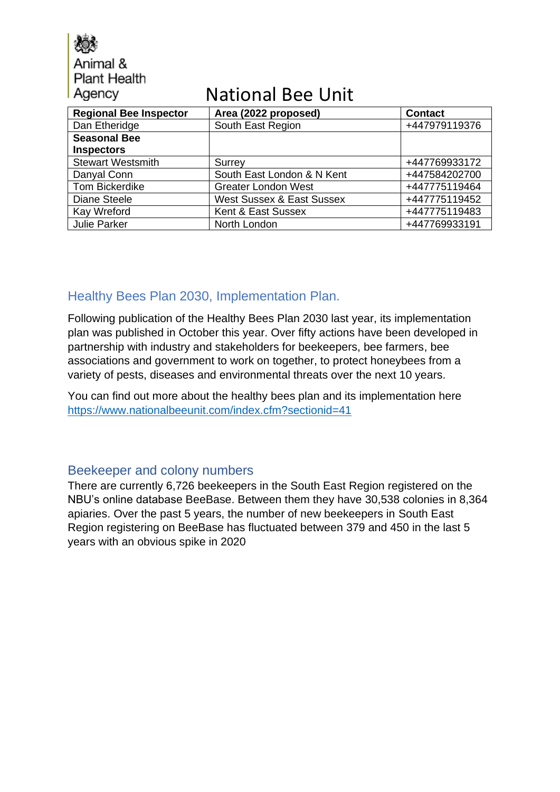Animal & **Plant Health** Agency

# National Bee Unit

| <b>Regional Bee Inspector</b> | Area (2022 proposed)                 | <b>Contact</b> |
|-------------------------------|--------------------------------------|----------------|
| Dan Etheridge                 | South East Region                    | +447979119376  |
| <b>Seasonal Bee</b>           |                                      |                |
| <b>Inspectors</b>             |                                      |                |
| <b>Stewart Westsmith</b>      | Surrey                               | +447769933172  |
| Danyal Conn                   | South East London & N Kent           | +447584202700  |
| Tom Bickerdike                | <b>Greater London West</b>           | +447775119464  |
| Diane Steele                  | <b>West Sussex &amp; East Sussex</b> | +447775119452  |
| Kay Wreford                   | Kent & East Sussex                   | +447775119483  |
| Julie Parker                  | North London                         | +447769933191  |

### Healthy Bees Plan 2030, Implementation Plan.

Following publication of the Healthy Bees Plan 2030 last year, its implementation plan was published in October this year. Over fifty actions have been developed in partnership with industry and stakeholders for beekeepers, bee farmers, bee associations and government to work on together, to protect honeybees from a variety of pests, diseases and environmental threats over the next 10 years.

You can find out more about the healthy bees plan and its implementation here <https://www.nationalbeeunit.com/index.cfm?sectionid=41>

### Beekeeper and colony numbers

There are currently 6,726 beekeepers in the South East Region registered on the NBU's online database BeeBase. Between them they have 30,538 colonies in 8,364 apiaries. Over the past 5 years, the number of new beekeepers in South East Region registering on BeeBase has fluctuated between 379 and 450 in the last 5 years with an obvious spike in 2020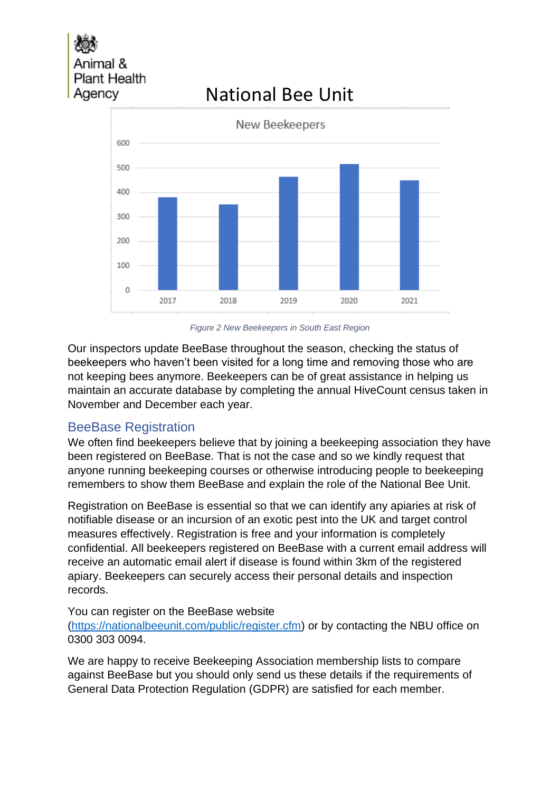# nal & **Plant Health** Agency

# National Bee Unit



*Figure 2 New Beekeepers in South East Region*

Our inspectors update BeeBase throughout the season, checking the status of beekeepers who haven't been visited for a long time and removing those who are not keeping bees anymore. Beekeepers can be of great assistance in helping us maintain an accurate database by completing the annual HiveCount census taken in November and December each year.

### BeeBase Registration

We often find beekeepers believe that by joining a beekeeping association they have been registered on BeeBase. That is not the case and so we kindly request that anyone running beekeeping courses or otherwise introducing people to beekeeping remembers to show them BeeBase and explain the role of the National Bee Unit.

Registration on BeeBase is essential so that we can identify any apiaries at risk of notifiable disease or an incursion of an exotic pest into the UK and target control measures effectively. Registration is free and your information is completely confidential. All beekeepers registered on BeeBase with a current email address will receive an automatic email alert if disease is found within 3km of the registered apiary. Beekeepers can securely access their personal details and inspection records.

### You can register on the BeeBase website

[\(https://nationalbeeunit.com/public/register.cfm\)](https://nationalbeeunit.com/public/register.cfm) or by contacting the NBU office on 0300 303 0094.

We are happy to receive Beekeeping Association membership lists to compare against BeeBase but you should only send us these details if the requirements of General Data Protection Regulation (GDPR) are satisfied for each member.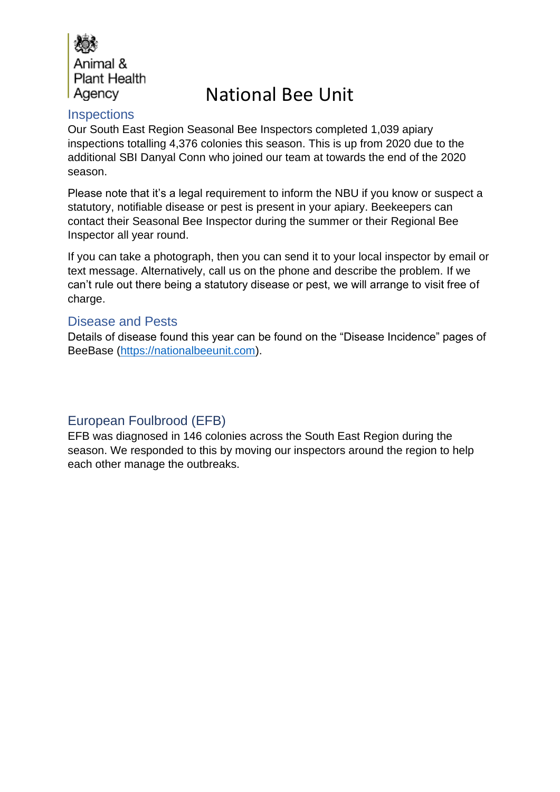

### **Inspections**

Our South East Region Seasonal Bee Inspectors completed 1,039 apiary inspections totalling 4,376 colonies this season. This is up from 2020 due to the additional SBI Danyal Conn who joined our team at towards the end of the 2020 season.

Please note that it's a legal requirement to inform the NBU if you know or suspect a statutory, notifiable disease or pest is present in your apiary. Beekeepers can contact their Seasonal Bee Inspector during the summer or their Regional Bee Inspector all year round.

If you can take a photograph, then you can send it to your local inspector by email or text message. Alternatively, call us on the phone and describe the problem. If we can't rule out there being a statutory disease or pest, we will arrange to visit free of charge.

### Disease and Pests

Details of disease found this year can be found on the "Disease Incidence" pages of BeeBase [\(https://nationalbeeunit.com\)](https://nationalbeeunit.com/).

### European Foulbrood (EFB)

EFB was diagnosed in 146 colonies across the South East Region during the season. We responded to this by moving our inspectors around the region to help each other manage the outbreaks.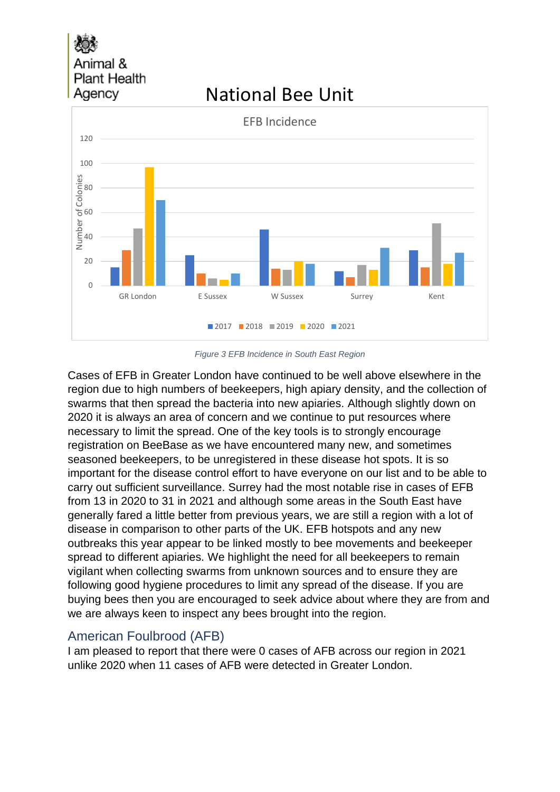# Animal & **Plant Health** Agency

## $\Omega$ 20 40 60 80 100 120 GR London E Sussex M Sussex Surrey Kent Number of Colonies EFB Incidence 2017 2018 2019 2020 2021

National Bee Unit

#### *Figure 3 EFB Incidence in South East Region*

Cases of EFB in Greater London have continued to be well above elsewhere in the region due to high numbers of beekeepers, high apiary density, and the collection of swarms that then spread the bacteria into new apiaries. Although slightly down on 2020 it is always an area of concern and we continue to put resources where necessary to limit the spread. One of the key tools is to strongly encourage registration on BeeBase as we have encountered many new, and sometimes seasoned beekeepers, to be unregistered in these disease hot spots. It is so important for the disease control effort to have everyone on our list and to be able to carry out sufficient surveillance. Surrey had the most notable rise in cases of EFB from 13 in 2020 to 31 in 2021 and although some areas in the South East have generally fared a little better from previous years, we are still a region with a lot of disease in comparison to other parts of the UK. EFB hotspots and any new outbreaks this year appear to be linked mostly to bee movements and beekeeper spread to different apiaries. We highlight the need for all beekeepers to remain vigilant when collecting swarms from unknown sources and to ensure they are following good hygiene procedures to limit any spread of the disease. If you are buying bees then you are encouraged to seek advice about where they are from and we are always keen to inspect any bees brought into the region.

### American Foulbrood (AFB)

I am pleased to report that there were 0 cases of AFB across our region in 2021 unlike 2020 when 11 cases of AFB were detected in Greater London.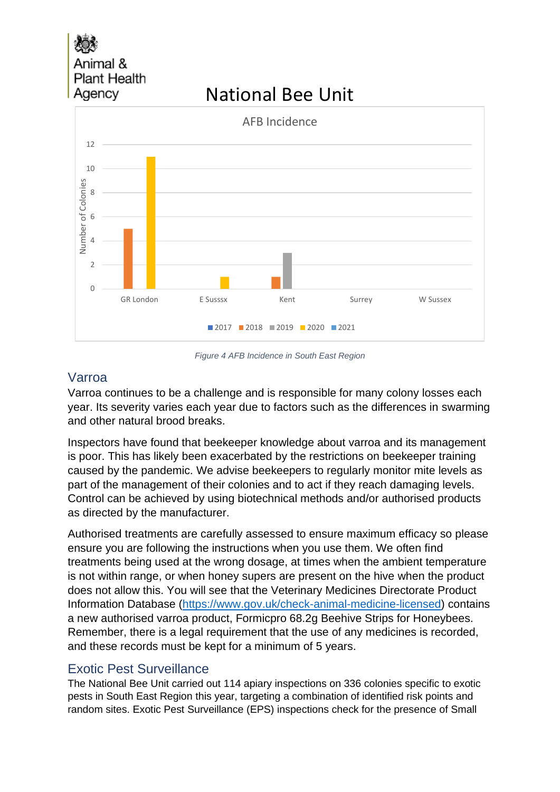nal & **Plant Health** Agency

# National Bee Unit



*Figure 4 AFB Incidence in South East Region*

### Varroa

Varroa continues to be a challenge and is responsible for many colony losses each year. Its severity varies each year due to factors such as the differences in swarming and other natural brood breaks.

Inspectors have found that beekeeper knowledge about varroa and its management is poor. This has likely been exacerbated by the restrictions on beekeeper training caused by the pandemic. We advise beekeepers to regularly monitor mite levels as part of the management of their colonies and to act if they reach damaging levels. Control can be achieved by using biotechnical methods and/or authorised products as directed by the manufacturer.

Authorised treatments are carefully assessed to ensure maximum efficacy so please ensure you are following the instructions when you use them. We often find treatments being used at the wrong dosage, at times when the ambient temperature is not within range, or when honey supers are present on the hive when the product does not allow this. You will see that the Veterinary Medicines Directorate Product Information Database [\(https://www.gov.uk/check-animal-medicine-licensed\)](https://www.gov.uk/check-animal-medicine-licensed) contains a new authorised varroa product, Formicpro 68.2g Beehive Strips for Honeybees. Remember, there is a legal requirement that the use of any medicines is recorded, and these records must be kept for a minimum of 5 years.

### Exotic Pest Surveillance

The National Bee Unit carried out 114 apiary inspections on 336 colonies specific to exotic pests in South East Region this year, targeting a combination of identified risk points and random sites. Exotic Pest Surveillance (EPS) inspections check for the presence of Small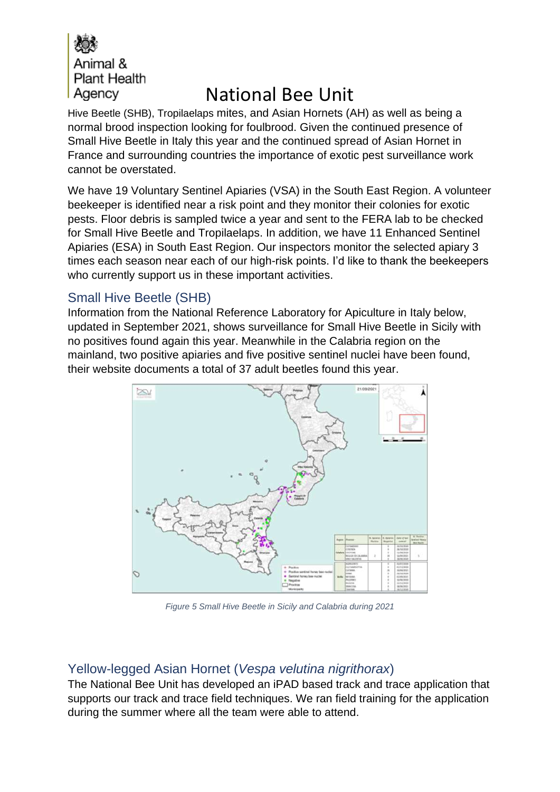

Hive Beetle (SHB), Tropilaelaps mites, and Asian Hornets (AH) as well as being a normal brood inspection looking for foulbrood. Given the continued presence of Small Hive Beetle in Italy this year and the continued spread of Asian Hornet in France and surrounding countries the importance of exotic pest surveillance work cannot be overstated.

We have 19 Voluntary Sentinel Apiaries (VSA) in the South East Region. A volunteer beekeeper is identified near a risk point and they monitor their colonies for exotic pests. Floor debris is sampled twice a year and sent to the FERA lab to be checked for Small Hive Beetle and Tropilaelaps. In addition, we have 11 Enhanced Sentinel Apiaries (ESA) in South East Region. Our inspectors monitor the selected apiary 3 times each season near each of our high-risk points. I'd like to thank the beekeepers who currently support us in these important activities.

### Small Hive Beetle (SHB)

Information from the National Reference Laboratory for Apiculture in Italy below, updated in September 2021, shows surveillance for Small Hive Beetle in Sicily with no positives found again this year. Meanwhile in the Calabria region on the mainland, two positive apiaries and five positive sentinel nuclei have been found, their website documents a total of 37 adult beetles found this year.



*Figure 5 Small Hive Beetle in Sicily and Calabria during 2021*

### Yellow-legged Asian Hornet (*Vespa velutina nigrithorax*)

The National Bee Unit has developed an iPAD based track and trace application that supports our track and trace field techniques. We ran field training for the application during the summer where all the team were able to attend.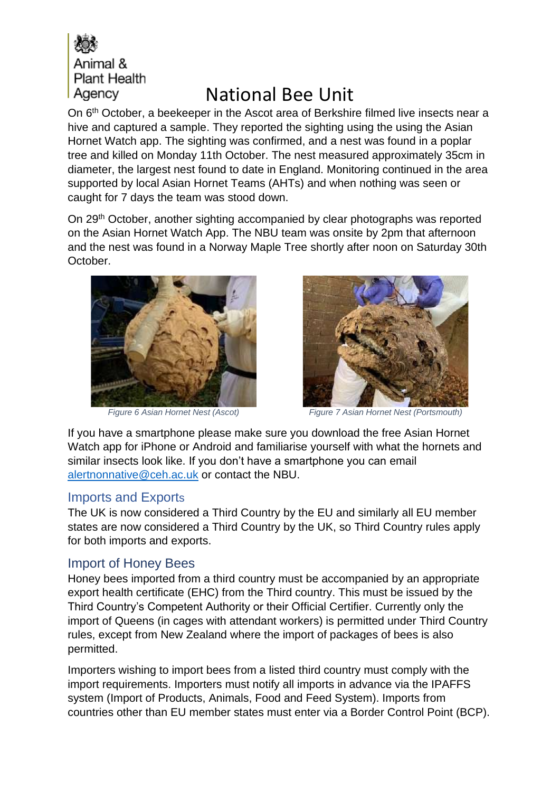

On 6<sup>th</sup> October, a beekeeper in the Ascot area of Berkshire filmed live insects near a hive and captured a sample. They reported the sighting using the using the Asian Hornet Watch app. The sighting was confirmed, and a nest was found in a poplar tree and killed on Monday 11th October. The nest measured approximately 35cm in diameter, the largest nest found to date in England. Monitoring continued in the area supported by local Asian Hornet Teams (AHTs) and when nothing was seen or caught for 7 days the team was stood down.

On 29<sup>th</sup> October, another sighting accompanied by clear photographs was reported on the Asian Hornet Watch App. The NBU team was onsite by 2pm that afternoon and the nest was found in a Norway Maple Tree shortly after noon on Saturday 30th October.





*Figure 6 Asian Hornet Nest (Ascot) Figure 7 Asian Hornet Nest (Portsmouth)*

If you have a smartphone please make sure you download the free Asian Hornet Watch app for iPhone or Android and familiarise yourself with what the hornets and similar insects look like. If you don't have a smartphone you can email [alertnonnative@ceh.ac.uk](mailto:alertnonnative@ceh.ac.uk) or contact the NBU.

### Imports and Exports

The UK is now considered a Third Country by the EU and similarly all EU member states are now considered a Third Country by the UK, so Third Country rules apply for both imports and exports.

### Import of Honey Bees

Honey bees imported from a third country must be accompanied by an appropriate export health certificate (EHC) from the Third country. This must be issued by the Third Country's Competent Authority or their Official Certifier. Currently only the import of Queens (in cages with attendant workers) is permitted under Third Country rules, except from New Zealand where the import of packages of bees is also permitted.

Importers wishing to import bees from a listed third country must comply with the import requirements. Importers must notify all imports in advance via the IPAFFS system (Import of Products, Animals, Food and Feed System). Imports from countries other than EU member states must enter via a Border Control Point (BCP).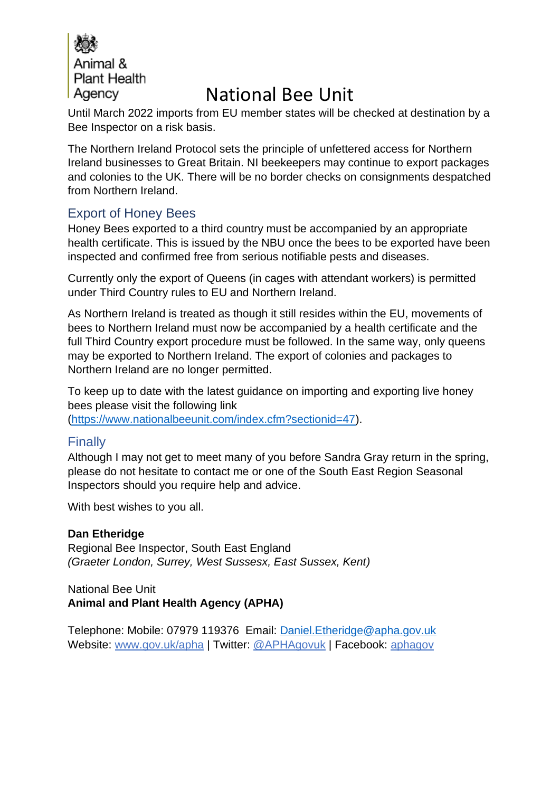

Until March 2022 imports from EU member states will be checked at destination by a Bee Inspector on a risk basis.

The Northern Ireland Protocol sets the principle of unfettered access for Northern Ireland businesses to Great Britain. NI beekeepers may continue to export packages and colonies to the UK. There will be no border checks on consignments despatched from Northern Ireland.

### Export of Honey Bees

Honey Bees exported to a third country must be accompanied by an appropriate health certificate. This is issued by the NBU once the bees to be exported have been inspected and confirmed free from serious notifiable pests and diseases.

Currently only the export of Queens (in cages with attendant workers) is permitted under Third Country rules to EU and Northern Ireland.

As Northern Ireland is treated as though it still resides within the EU, movements of bees to Northern Ireland must now be accompanied by a health certificate and the full Third Country export procedure must be followed. In the same way, only queens may be exported to Northern Ireland. The export of colonies and packages to Northern Ireland are no longer permitted.

To keep up to date with the latest guidance on importing and exporting live honey bees please visit the following link

[\(https://www.nationalbeeunit.com/index.cfm?sectionid=47\)](https://www.nationalbeeunit.com/index.cfm?sectionid=47).

### **Finally**

Although I may not get to meet many of you before Sandra Gray return in the spring, please do not hesitate to contact me or one of the South East Region Seasonal Inspectors should you require help and advice.

With best wishes to you all.

### **Dan Etheridge**

Regional Bee Inspector, South East England *(Graeter London, Surrey, West Sussesx, East Sussex, Kent)*

### National Bee Unit **Animal and Plant Health Agency (APHA)**

Telephone: Mobile: 07979 119376 Email: [Daniel.Etheridge@apha.gov.uk](mailto:Daniel.Etheridge@apha.gov.uk) Website: [www.gov.uk/apha](http://www.gov.uk/apha) | Twitter: [@APHAgovuk](http://www.twitter.com/aphagovuk) | Facebook: [aphagov](http://www.facebook.com/aphagov)